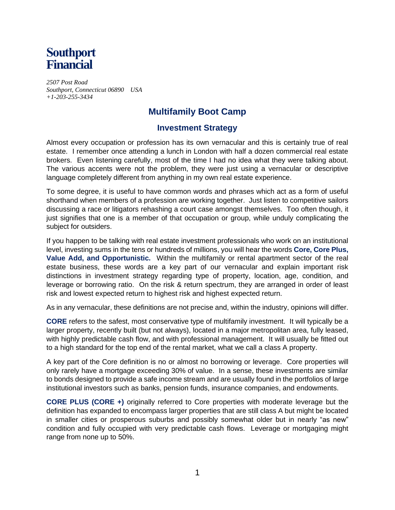

*2507 Post Road Southport, Connecticut 06890 USA +1-203-255-3434* 

## **Multifamily Boot Camp**

## **Investment Strategy**

Almost every occupation or profession has its own vernacular and this is certainly true of real estate. I remember once attending a lunch in London with half a dozen commercial real estate brokers. Even listening carefully, most of the time I had no idea what they were talking about. The various accents were not the problem, they were just using a vernacular or descriptive language completely different from anything in my own real estate experience.

To some degree, it is useful to have common words and phrases which act as a form of useful shorthand when members of a profession are working together. Just listen to competitive sailors discussing a race or litigators rehashing a court case amongst themselves. Too often though, it just signifies that one is a member of that occupation or group, while unduly complicating the subject for outsiders.

If you happen to be talking with real estate investment professionals who work on an institutional level, investing sums in the tens or hundreds of millions, you will hear the words **Core, Core Plus, Value Add, and Opportunistic.** Within the multifamily or rental apartment sector of the real estate business, these words are a key part of our vernacular and explain important risk distinctions in investment strategy regarding type of property, location, age, condition, and leverage or borrowing ratio. On the risk & return spectrum, they are arranged in order of least risk and lowest expected return to highest risk and highest expected return.

As in any vernacular, these definitions are not precise and, within the industry, opinions will differ.

**CORE** refers to the safest, most conservative type of multifamily investment. It will typically be a larger property, recently built (but not always), located in a major metropolitan area, fully leased, with highly predictable cash flow, and with professional management. It will usually be fitted out to a high standard for the top end of the rental market, what we call a class A property.

A key part of the Core definition is no or almost no borrowing or leverage. Core properties will only rarely have a mortgage exceeding 30% of value. In a sense, these investments are similar to bonds designed to provide a safe income stream and are usually found in the portfolios of large institutional investors such as banks, pension funds, insurance companies, and endowments.

**CORE PLUS (CORE +)** originally referred to Core properties with moderate leverage but the definition has expanded to encompass larger properties that are still class A but might be located in smaller cities or prosperous suburbs and possibly somewhat older but in nearly "as new" condition and fully occupied with very predictable cash flows. Leverage or mortgaging might range from none up to 50%.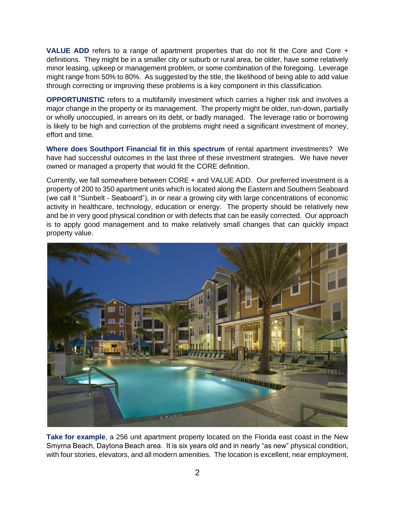**VALUE ADD** refers to a range of apartment properties that do not fit the Core and Core + definitions. They might be in a smaller city or suburb or rural area, be older, have some relatively minor leasing, upkeep or management problem, or some combination of the foregoing. Leverage might range from 50% to 80%. As suggested by the title, the likelihood of being able to add value through correcting or improving these problems is a key component in this classification.

**OPPORTUNISTIC** refers to a multifamily investment which carries a higher risk and involves a major change in the property or its management. The property might be older, run-down, partially or wholly unoccupied, in arrears on its debt, or badly managed. The leverage ratio or borrowing is likely to be high and correction of the problems might need a significant investment of money, effort and time.

**Where does Southport Financial fit in this spectrum** of rental apartment investments? We have had successful outcomes in the last three of these investment strategies. We have never owned or managed a property that would fit the CORE definition.

Currently, we fall somewhere between CORE + and VALUE ADD. Our preferred investment is a property of 200 to 350 apartment units which is located along the Eastern and Southern Seaboard (we call it "Sunbelt - Seaboard"), in or near a growing city with large concentrations of economic activity in healthcare, technology, education or energy. The property should be relatively new and be in very good physical condition or with defects that can be easily corrected. Our approach is to apply good management and to make relatively small changes that can quickly impact property value.



**Take for example**, a 256 unit apartment property located on the Florida east coast in the New Smyrna Beach, Daytona Beach area. It is six years old and in nearly "as new" physical condition, with four stories, elevators, and all modern amenities. The location is excellent, near employment,